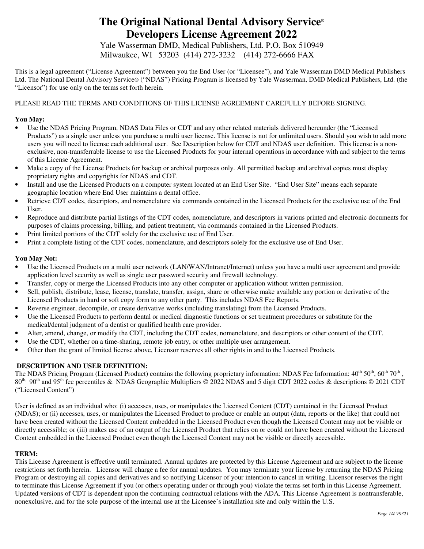Yale Wasserman DMD, Medical Publishers, Ltd. P.O. Box 510949 Milwaukee, WI 53203 (414) 272-3232 (414) 272-6666 FAX

This is a legal agreement ("License Agreement") between you the End User (or "Licensee"), and Yale Wasserman DMD Medical Publishers Ltd. The National Dental Advisory Service® ("NDAS") Pricing Program is licensed by Yale Wasserman, DMD Medical Publishers, Ltd. (the "Licensor") for use only on the terms set forth herein.

## PLEASE READ THE TERMS AND CONDITIONS OF THIS LICENSE AGREEMENT CAREFULLY BEFORE SIGNING.

### **You May:**

- Use the NDAS Pricing Program, NDAS Data Files or CDT and any other related materials delivered hereunder (the "Licensed Products") as a single user unless you purchase a multi user license. This license is not for unlimited users. Should you wish to add more users you will need to license each additional user. See Description below for CDT and NDAS user definition. This license is a nonexclusive, non-transferrable license to use the Licensed Products for your internal operations in accordance with and subject to the terms of this License Agreement.
- Make a copy of the License Products for backup or archival purposes only. All permitted backup and archival copies must display proprietary rights and copyrights for NDAS and CDT.
- Install and use the Licensed Products on a computer system located at an End User Site. "End User Site" means each separate geographic location where End User maintains a dental office.
- Retrieve CDT codes, descriptors, and nomenclature via commands contained in the Licensed Products for the exclusive use of the End User.
- Reproduce and distribute partial listings of the CDT codes, nomenclature, and descriptors in various printed and electronic documents for purposes of claims processing, billing, and patient treatment, via commands contained in the Licensed Products.
- Print limited portions of the CDT solely for the exclusive use of End User.
- Print a complete listing of the CDT codes, nomenclature, and descriptors solely for the exclusive use of End User.

## **You May Not:**

- Use the Licensed Products on a multi user network (LAN/WAN/Intranet/Internet) unless you have a multi user agreement and provide application level security as well as single user password security and firewall technology.
- Transfer, copy or merge the Licensed Products into any other computer or application without written permission.
- Sell, publish, distribute, lease, license, translate, transfer, assign, share or otherwise make available any portion or derivative of the Licensed Products in hard or soft copy form to any other party. This includes NDAS Fee Reports.
- Reverse engineer, decompile, or create derivative works (including translating) from the Licensed Products.
- Use the Licensed Products to perform dental or medical diagnostic functions or set treatment procedures or substitute for the medical/dental judgment of a dentist or qualified health care provider.
- Alter, amend, change, or modify the CDT, including the CDT codes, nomenclature, and descriptors or other content of the CDT.
- Use the CDT, whether on a time-sharing, remote job entry, or other multiple user arrangement.
- Other than the grant of limited license above, Licensor reserves all other rights in and to the Licensed Products.

### **DESCRIPTION AND USER DEFINITION:**

The NDAS Pricing Program (Licensed Product) contains the following proprietary information: NDAS Fee Information:  $40^{th}$   $50^{th}$ ,  $60^{th}$   $70^{th}$ , 80<sup>th,</sup> 90<sup>th</sup> and 95<sup>th</sup> fee percentiles & NDAS Geographic Multipliers  $\odot$  2022 NDAS and 5 digit CDT 2022 codes & descriptions  $\odot$  2021 CDT ("Licensed Content")

User is defined as an individual who: (i) accesses, uses, or manipulates the Licensed Content (CDT) contained in the Licensed Product (NDAS); or (ii) accesses, uses, or manipulates the Licensed Product to produce or enable an output (data, reports or the like) that could not have been created without the Licensed Content embedded in the Licensed Product even though the Licensed Content may not be visible or directly accessible; or (iii) makes use of an output of the Licensed Product that relies on or could not have been created without the Licensed Content embedded in the Licensed Product even though the Licensed Content may not be visible or directly accessible.

## **TERM:**

This License Agreement is effective until terminated. Annual updates are protected by this License Agreement and are subject to the license restrictions set forth herein. Licensor will charge a fee for annual updates. You may terminate your license by returning the NDAS Pricing Program or destroying all copies and derivatives and so notifying Licensor of your intention to cancel in writing. Licensor reserves the right to terminate this License Agreement if you (or others operating under or through you) violate the terms set forth in this License Agreement. Updated versions of CDT is dependent upon the continuing contractual relations with the ADA. This License Agreement is nontransferable, nonexclusive, and for the sole purpose of the internal use at the Licensee's installation site and only within the U.S.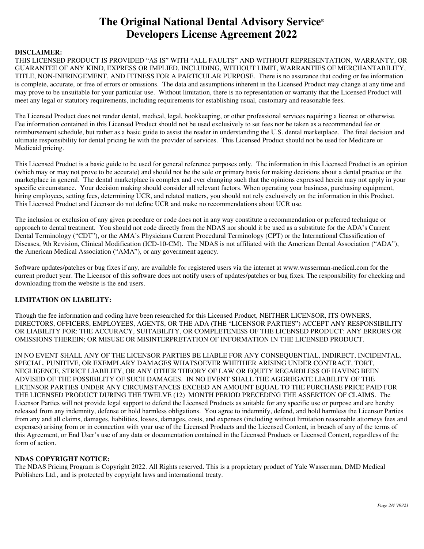#### **DISCLAIMER:**

THIS LICENSED PRODUCT IS PROVIDED "AS IS" WITH "ALL FAULTS" AND WITHOUT REPRESENTATION, WARRANTY, OR GUARANTEE OF ANY KIND, EXPRESS OR IMPLIED, INCLUDING, WITHOUT LIMIT, WARRANTIES OF MERCHANTABILITY, TITLE, NON-INFRINGEMENT, AND FITNESS FOR A PARTICULAR PURPOSE. There is no assurance that coding or fee information is complete, accurate, or free of errors or omissions. The data and assumptions inherent in the Licensed Product may change at any time and may prove to be unsuitable for your particular use. Without limitation, there is no representation or warranty that the Licensed Product will meet any legal or statutory requirements, including requirements for establishing usual, customary and reasonable fees.

The Licensed Product does not render dental, medical, legal, bookkeeping, or other professional services requiring a license or otherwise. Fee information contained in this Licensed Product should not be used exclusively to set fees nor be taken as a recommended fee or reimbursement schedule, but rather as a basic guide to assist the reader in understanding the U.S. dental marketplace. The final decision and ultimate responsibility for dental pricing lie with the provider of services. This Licensed Product should not be used for Medicare or Medicaid pricing.

This Licensed Product is a basic guide to be used for general reference purposes only. The information in this Licensed Product is an opinion (which may or may not prove to be accurate) and should not be the sole or primary basis for making decisions about a dental practice or the marketplace in general. The dental marketplace is complex and ever changing such that the opinions expressed herein may not apply in your specific circumstance. Your decision making should consider all relevant factors. When operating your business, purchasing equipment, hiring employees, setting fees, determining UCR, and related matters, you should not rely exclusively on the information in this Product. This Licensed Product and Licensor do not define UCR and make no recommendations about UCR use.

The inclusion or exclusion of any given procedure or code does not in any way constitute a recommendation or preferred technique or approach to dental treatment. You should not code directly from the NDAS nor should it be used as a substitute for the ADA's Current Dental Terminology ("CDT"), or the AMA's Physicians Current Procedural Terminology (CPT) or the International Classification of Diseases, 9th Revision, Clinical Modification (ICD-10-CM). The NDAS is not affiliated with the American Dental Association ("ADA"), the American Medical Association ("AMA"), or any government agency.

Software updates/patches or bug fixes if any, are available for registered users via the internet at www.wasserman-medical.com for the current product year. The Licensor of this software does not notify users of updates/patches or bug fixes. The responsibility for checking and downloading from the website is the end users.

#### **LIMITATION ON LIABILITY:**

Though the fee information and coding have been researched for this Licensed Product, NEITHER LICENSOR, ITS OWNERS, DIRECTORS, OFFICERS, EMPLOYEES, AGENTS, OR THE ADA (THE "LICENSOR PARTIES") ACCEPT ANY RESPONSIBILITY OR LIABILITY FOR: THE ACCURACY, SUITABILITY, OR COMPLETENESS OF THE LICENSED PRODUCT; ANY ERRORS OR OMISSIONS THEREIN; OR MISUSE OR MISINTERPRETATION OF INFORMATION IN THE LICENSED PRODUCT.

IN NO EVENT SHALL ANY OF THE LICENSOR PARTIES BE LIABLE FOR ANY CONSEQUENTIAL, INDIRECT, INCIDENTAL, SPECIAL, PUNITIVE, OR EXEMPLARY DAMAGES WHATSOEVER WHETHER ARISING UNDER CONTRACT, TORT, NEGLIGENCE, STRICT LIABILITY, OR ANY OTHER THEORY OF LAW OR EQUITY REGARDLESS OF HAVING BEEN ADVISED OF THE POSSIBILITY OF SUCH DAMAGES. IN NO EVENT SHALL THE AGGREGATE LIABILITY OF THE LICENSOR PARTIES UNDER ANY CIRCUMSTANCES EXCEED AN AMOUNT EQUAL TO THE PURCHASE PRICE PAID FOR THE LICENSED PRODUCT DURING THE TWELVE (12) MONTH PERIOD PRECEDING THE ASSERTION OF CLAIMS. The Licensor Parties will not provide legal support to defend the Licensed Products as suitable for any specific use or purpose and are hereby released from any indemnity, defense or hold harmless obligations. You agree to indemnify, defend, and hold harmless the Licensor Parties from any and all claims, damages, liabilities, losses, damages, costs, and expenses (including without limitation reasonable attorneys fees and expenses) arising from or in connection with your use of the Licensed Products and the Licensed Content, in breach of any of the terms of this Agreement, or End User's use of any data or documentation contained in the Licensed Products or Licensed Content, regardless of the form of action.

### **NDAS COPYRIGHT NOTICE:**

The NDAS Pricing Program is Copyright 2022. All Rights reserved. This is a proprietary product of Yale Wasserman, DMD Medical Publishers Ltd., and is protected by copyright laws and international treaty.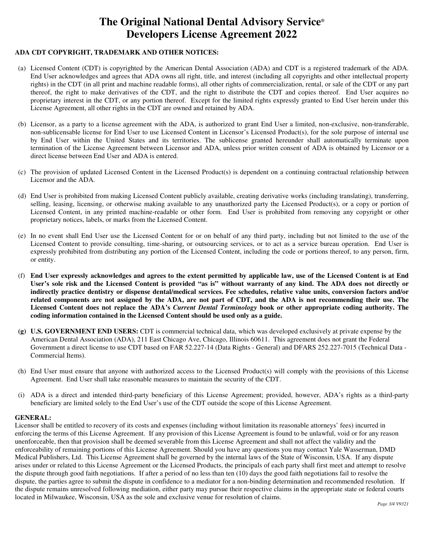## **ADA CDT COPYRIGHT, TRADEMARK AND OTHER NOTICES:**

- (a) Licensed Content (CDT) is copyrighted by the American Dental Association (ADA) and CDT is a registered trademark of the ADA. End User acknowledges and agrees that ADA owns all right, title, and interest (including all copyrights and other intellectual property rights) in the CDT (in all print and machine readable forms), all other rights of commercialization, rental, or sale of the CDT or any part thereof, the right to make derivatives of the CDT, and the right to distribute the CDT and copies thereof. End User acquires no proprietary interest in the CDT, or any portion thereof. Except for the limited rights expressly granted to End User herein under this License Agreement, all other rights in the CDT are owned and retained by ADA.
- (b) Licensor, as a party to a license agreement with the ADA, is authorized to grant End User a limited, non-exclusive, non-transferable, non-sublicensable license for End User to use Licensed Content in Licensor's Licensed Product(s), for the sole purpose of internal use by End User within the United States and its territories. The sublicense granted hereunder shall automatically terminate upon termination of the License Agreement between Licensor and ADA, unless prior written consent of ADA is obtained by Licensor or a direct license between End User and ADA is entered.
- (c) The provision of updated Licensed Content in the Licensed Product(s) is dependent on a continuing contractual relationship between Licensor and the ADA.
- (d) End User is prohibited from making Licensed Content publicly available, creating derivative works (including translating), transferring, selling, leasing, licensing, or otherwise making available to any unauthorized party the Licensed Product(s), or a copy or portion of Licensed Content, in any printed machine-readable or other form. End User is prohibited from removing any copyright or other proprietary notices, labels, or marks from the Licensed Content.
- (e) In no event shall End User use the Licensed Content for or on behalf of any third party, including but not limited to the use of the Licensed Content to provide consulting, time-sharing, or outsourcing services, or to act as a service bureau operation. End User is expressly prohibited from distributing any portion of the Licensed Content, including the code or portions thereof, to any person, firm, or entity.
- (f) **End User expressly acknowledges and agrees to the extent permitted by applicable law, use of the Licensed Content is at End User's sole risk and the Licensed Content is provided "as is" without warranty of any kind. The ADA does not directly or indirectly practice dentistry or dispense dental/medical services. Fee schedules, relative value units, conversion factors and/or related components are not assigned by the ADA, are not part of CDT, and the ADA is not recommending their use. The Licensed Content does not replace the ADA's** *Current Dental Terminology* **book or other appropriate coding authority. The coding information contained in the Licensed Content should be used only as a guide.**
- **(g) U.S. GOVERNMENT END USERS:** CDT is commercial technical data, which was developed exclusively at private expense by the American Dental Association (ADA), 211 East Chicago Ave, Chicago, Illinois 60611. This agreement does not grant the Federal Government a direct license to use CDT based on FAR 52.227-14 (Data Rights - General) and DFARS 252.227-7015 (Technical Data - Commercial Items).
- (h) End User must ensure that anyone with authorized access to the Licensed Product(s) will comply with the provisions of this License Agreement. End User shall take reasonable measures to maintain the security of the CDT.
- (i) ADA is a direct and intended third-party beneficiary of this License Agreement; provided, however, ADA's rights as a third-party beneficiary are limited solely to the End User's use of the CDT outside the scope of this License Agreement.

#### **GENERAL:**

Licensor shall be entitled to recovery of its costs and expenses (including without limitation its reasonable attorneys' fees) incurred in enforcing the terms of this License Agreement. If any provision of this License Agreement is found to be unlawful, void or for any reason unenforceable, then that provision shall be deemed severable from this License Agreement and shall not affect the validity and the enforceability of remaining portions of this License Agreement. Should you have any questions you may contact Yale Wasserman, DMD Medical Publishers, Ltd. This License Agreement shall be governed by the internal laws of the State of Wisconsin, USA. If any dispute arises under or related to this License Agreement or the Licensed Products, the principals of each party shall first meet and attempt to resolve the dispute through good faith negotiations. If after a period of no less than ten (10) days the good faith negotiations fail to resolve the dispute, the parties agree to submit the dispute in confidence to a mediator for a non-binding determination and recommended resolution. If the dispute remains unresolved following mediation, either party may pursue their respective claims in the appropriate state or federal courts located in Milwaukee, Wisconsin, USA as the sole and exclusive venue for resolution of claims.